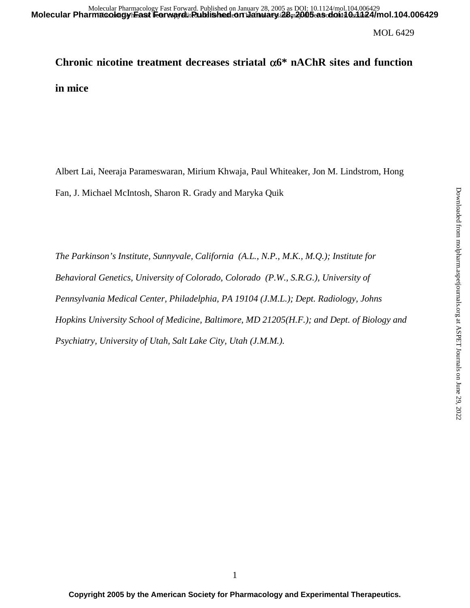# **Chronic nicotine treatment decreases striatal** α**6\* nAChR sites and function in mice**

Albert Lai, Neeraja Parameswaran, Mirium Khwaja, Paul Whiteaker, Jon M. Lindstrom, Hong Fan, J. Michael McIntosh, Sharon R. Grady and Maryka Quik

*The Parkinson's Institute, Sunnyvale, California (A.L., N.P., M.K., M.Q.); Institute for Behavioral Genetics, University of Colorado, Colorado (P.W., S.R.G.), University of Pennsylvania Medical Center, Philadelphia, PA 19104 (J.M.L.); Dept. Radiology, Johns Hopkins University School of Medicine, Baltimore, MD 21205(H.F.); and Dept. of Biology and Psychiatry, University of Utah, Salt Lake City, Utah (J.M.M.).*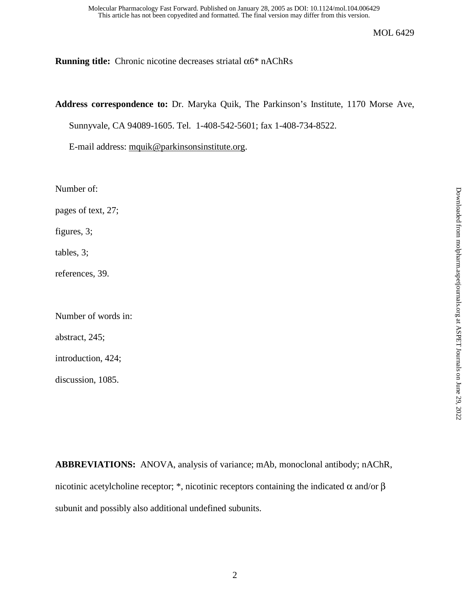**Running title:** Chronic nicotine decreases striatal α6\* nAChRs

**Address correspondence to:** Dr. Maryka Quik, The Parkinson's Institute, 1170 Morse Ave,

Sunnyvale, CA 94089-1605. Tel. 1-408-542-5601; fax 1-408-734-8522.

E-mail address: mquik@parkinsonsinstitute.org.

Number of:

pages of text, 27;

figures, 3;

tables, 3;

references, 39.

Number of words in:

abstract, 245;

introduction, 424;

discussion, 1085.

**ABBREVIATIONS:** ANOVA, analysis of variance; mAb, monoclonal antibody; nAChR, nicotinic acetylcholine receptor; \*, nicotinic receptors containing the indicated α and/or β subunit and possibly also additional undefined subunits.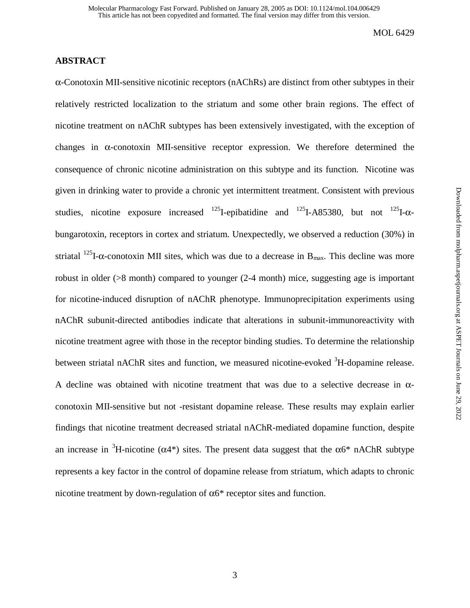## **ABSTRACT**

α-Conotoxin MII-sensitive nicotinic receptors (nAChRs) are distinct from other subtypes in their relatively restricted localization to the striatum and some other brain regions. The effect of nicotine treatment on nAChR subtypes has been extensively investigated, with the exception of changes in  $\alpha$ -conotoxin MII-sensitive receptor expression. We therefore determined the consequence of chronic nicotine administration on this subtype and its function. Nicotine was given in drinking water to provide a chronic yet intermittent treatment. Consistent with previous studies, nicotine exposure increased  $^{125}$ I-epibatidine and  $^{125}$ I-A85380, but not  $^{125}$ I- $\alpha$ bungarotoxin, receptors in cortex and striatum. Unexpectedly, we observed a reduction (30%) in striatal  $^{125}$ I- $\alpha$ -conotoxin MII sites, which was due to a decrease in B<sub>max</sub>. This decline was more robust in older  $(>\,8 \text{ month})$  compared to younger  $(2-4 \text{ month})$  mice, suggesting age is important for nicotine-induced disruption of nAChR phenotype. Immunoprecipitation experiments using nAChR subunit-directed antibodies indicate that alterations in subunit-immunoreactivity with nicotine treatment agree with those in the receptor binding studies. To determine the relationship between striatal nAChR sites and function, we measured nicotine-evoked <sup>3</sup>H-dopamine release. A decline was obtained with nicotine treatment that was due to a selective decrease in αconotoxin MII-sensitive but not -resistant dopamine release. These results may explain earlier findings that nicotine treatment decreased striatal nAChR-mediated dopamine function, despite an increase in <sup>3</sup>H-nicotine ( $\alpha$ 4\*) sites. The present data suggest that the  $\alpha$ 6\* nAChR subtype represents a key factor in the control of dopamine release from striatum, which adapts to chronic nicotine treatment by down-regulation of  $α6*$  receptor sites and function.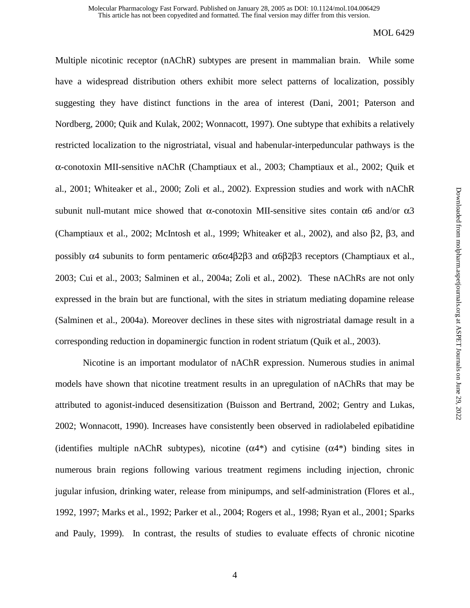Multiple nicotinic receptor (nAChR) subtypes are present in mammalian brain. While some have a widespread distribution others exhibit more select patterns of localization, possibly suggesting they have distinct functions in the area of interest (Dani, 2001; Paterson and Nordberg, 2000; Quik and Kulak, 2002; Wonnacott, 1997). One subtype that exhibits a relatively restricted localization to the nigrostriatal, visual and habenular-interpeduncular pathways is the α-conotoxin MII-sensitive nAChR (Champtiaux et al., 2003; Champtiaux et al., 2002; Quik et al., 2001; Whiteaker et al., 2000; Zoli et al., 2002). Expression studies and work with nAChR subunit null-mutant mice showed that  $\alpha$ -conotoxin MII-sensitive sites contain  $\alpha$ 6 and/or  $\alpha$ 3 (Champtiaux et al., 2002; McIntosh et al., 1999; Whiteaker et al., 2002), and also β2, β3, and possibly  $α$ 4 subunits to form pentameric  $α6α$ 4β2β3 and  $α$ 6β2β3 receptors (Champtiaux et al., 2003; Cui et al., 2003; Salminen et al., 2004a; Zoli et al., 2002). These nAChRs are not only expressed in the brain but are functional, with the sites in striatum mediating dopamine release (Salminen et al., 2004a). Moreover declines in these sites with nigrostriatal damage result in a corresponding reduction in dopaminergic function in rodent striatum (Quik et al., 2003).

Nicotine is an important modulator of nAChR expression. Numerous studies in animal models have shown that nicotine treatment results in an upregulation of nAChRs that may be attributed to agonist-induced desensitization (Buisson and Bertrand, 2002; Gentry and Lukas, 2002; Wonnacott, 1990). Increases have consistently been observed in radiolabeled epibatidine (identifies multiple nAChR subtypes), nicotine  $(\alpha 4^*)$  and cytisine  $(\alpha 4^*)$  binding sites in numerous brain regions following various treatment regimens including injection, chronic jugular infusion, drinking water, release from minipumps, and self-administration (Flores et al., 1992, 1997; Marks et al., 1992; Parker et al., 2004; Rogers et al., 1998; Ryan et al., 2001; Sparks and Pauly, 1999). In contrast, the results of studies to evaluate effects of chronic nicotine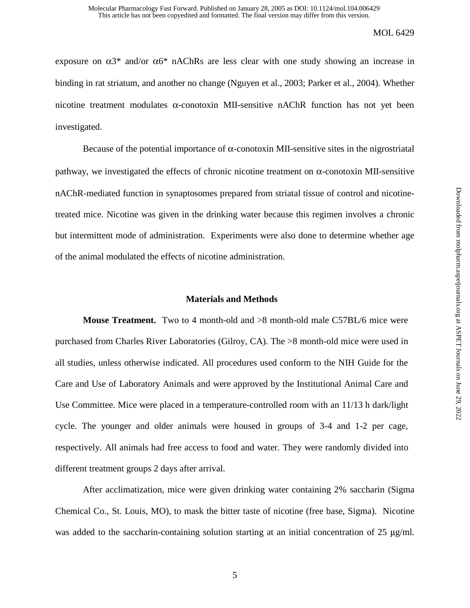exposure on  $\alpha$ 3<sup>\*</sup> and/or  $\alpha$ 6<sup>\*</sup> nAChRs are less clear with one study showing an increase in binding in rat striatum, and another no change (Nguyen et al., 2003; Parker et al., 2004). Whether nicotine treatment modulates α-conotoxin MII-sensitive nAChR function has not yet been investigated.

Because of the potential importance of  $\alpha$ -conotoxin MII-sensitive sites in the nigrostriatal pathway, we investigated the effects of chronic nicotine treatment on  $\alpha$ -conotoxin MII-sensitive nAChR-mediated function in synaptosomes prepared from striatal tissue of control and nicotinetreated mice. Nicotine was given in the drinking water because this regimen involves a chronic but intermittent mode of administration. Experiments were also done to determine whether age of the animal modulated the effects of nicotine administration.

#### **Materials and Methods**

**Mouse Treatment.** Two to 4 month-old and  $>8$  month-old male C57BL/6 mice were purchased from Charles River Laboratories (Gilroy, CA). The >8 month-old mice were used in all studies, unless otherwise indicated. All procedures used conform to the NIH Guide for the Care and Use of Laboratory Animals and were approved by the Institutional Animal Care and Use Committee. Mice were placed in a temperature-controlled room with an 11/13 h dark/light cycle. The younger and older animals were housed in groups of 3-4 and 1-2 per cage, respectively. All animals had free access to food and water. They were randomly divided into different treatment groups 2 days after arrival.

 After acclimatization, mice were given drinking water containing 2% saccharin (Sigma Chemical Co., St. Louis, MO), to mask the bitter taste of nicotine (free base, Sigma). Nicotine was added to the saccharin-containing solution starting at an initial concentration of  $25 \text{ µg/ml}$ .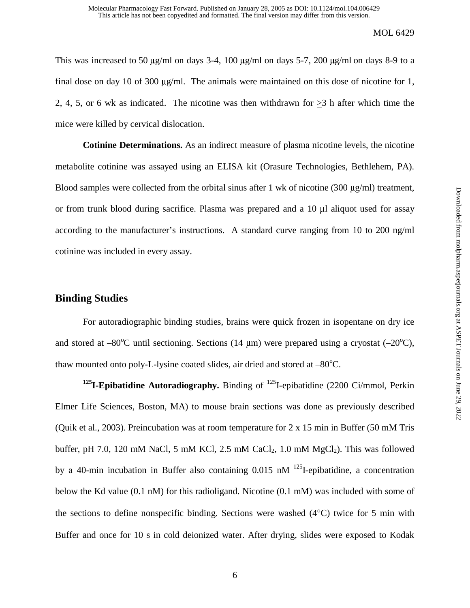This was increased to 50  $\mu$ g/ml on days 3-4, 100  $\mu$ g/ml on days 5-7, 200  $\mu$ g/ml on days 8-9 to a final dose on day 10 of 300 µg/ml. The animals were maintained on this dose of nicotine for 1, 2, 4, 5, or 6 wk as indicated. The nicotine was then withdrawn for >3 h after which time the mice were killed by cervical dislocation.

**Cotinine Determinations.** As an indirect measure of plasma nicotine levels, the nicotine metabolite cotinine was assayed using an ELISA kit (Orasure Technologies, Bethlehem, PA). Blood samples were collected from the orbital sinus after 1 wk of nicotine (300 µg/ml) treatment, or from trunk blood during sacrifice. Plasma was prepared and a 10 µl aliquot used for assay according to the manufacturer's instructions. A standard curve ranging from 10 to 200 ng/ml cotinine was included in every assay.

# **Binding Studies**

 For autoradiographic binding studies, brains were quick frozen in isopentane on dry ice and stored at  $-80^{\circ}\text{C}$  until sectioning. Sections (14  $\mu$ m) were prepared using a cryostat ( $-20^{\circ}\text{C}$ ), thaw mounted onto poly-L-lysine coated slides, air dried and stored at  $-80^{\circ}$ C.

<sup>125</sup>I-Epibatidine Autoradiography. Binding of <sup>125</sup>I-epibatidine (2200 Ci/mmol, Perkin Elmer Life Sciences, Boston, MA) to mouse brain sections was done as previously described (Quik et al., 2003). Preincubation was at room temperature for 2 x 15 min in Buffer (50 mM Tris buffer, pH 7.0, 120 mM NaCl, 5 mM KCl, 2.5 mM CaCl<sub>2</sub>, 1.0 mM  $MgCl<sub>2</sub>$ ). This was followed by a 40-min incubation in Buffer also containing  $0.015$  nM  $^{125}$ I-epibatidine, a concentration below the Kd value (0.1 nM) for this radioligand. Nicotine (0.1 mM) was included with some of the sections to define nonspecific binding. Sections were washed  $(4^{\circ}C)$  twice for 5 min with Buffer and once for 10 s in cold deionized water. After drying, slides were exposed to Kodak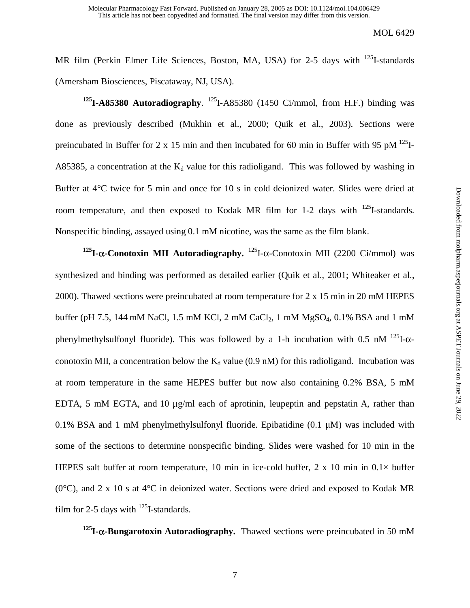MR film (Perkin Elmer Life Sciences, Boston, MA, USA) for 2-5 days with  $^{125}$ I-standards (Amersham Biosciences, Piscataway, NJ, USA).

<sup>125</sup>I-A85380 Autoradiography. <sup>125</sup>I-A85380 (1450 Ci/mmol, from H.F.) binding was done as previously described (Mukhin et al., 2000; Quik et al., 2003). Sections were preincubated in Buffer for 2 x 15 min and then incubated for 60 min in Buffer with 95 pM  $^{125}$ I-A85385, a concentration at the  $K_d$  value for this radioligand. This was followed by washing in Buffer at 4°C twice for 5 min and once for 10 s in cold deionized water. Slides were dried at room temperature, and then exposed to Kodak MR film for 1-2 days with  $^{125}$ I-standards. Nonspecific binding, assayed using 0.1 mM nicotine, was the same as the film blank.

**125I-**α**-Conotoxin MII Autoradiography.** 125I-α-Conotoxin MII (2200 Ci/mmol) was synthesized and binding was performed as detailed earlier (Quik et al., 2001; Whiteaker et al., 2000). Thawed sections were preincubated at room temperature for 2 x 15 min in 20 mM HEPES buffer (pH 7.5, 144 mM NaCl, 1.5 mM KCl, 2 mM CaCl<sub>2</sub>, 1 mM MgSO<sub>4</sub>, 0.1% BSA and 1 mM phenylmethylsulfonyl fluoride). This was followed by a 1-h incubation with 0.5 nM  $^{125}I-\alpha$ conotoxin MII, a concentration below the  $K_d$  value (0.9 nM) for this radioligand. Incubation was at room temperature in the same HEPES buffer but now also containing 0.2% BSA, 5 mM EDTA, 5 mM EGTA, and 10 µg/ml each of aprotinin, leupeptin and pepstatin A, rather than 0.1% BSA and 1 mM phenylmethylsulfonyl fluoride. Epibatidine  $(0.1 \mu M)$  was included with some of the sections to determine nonspecific binding. Slides were washed for 10 min in the HEPES salt buffer at room temperature, 10 min in ice-cold buffer, 2 x 10 min in  $0.1\times$  buffer ( $0^{\circ}$ C), and 2 x 10 s at 4 $^{\circ}$ C in deionized water. Sections were dried and exposed to Kodak MR film for 2-5 days with  $^{125}$ I-standards.

**125I-**α**-Bungarotoxin Autoradiography.** Thawed sections were preincubated in 50 mM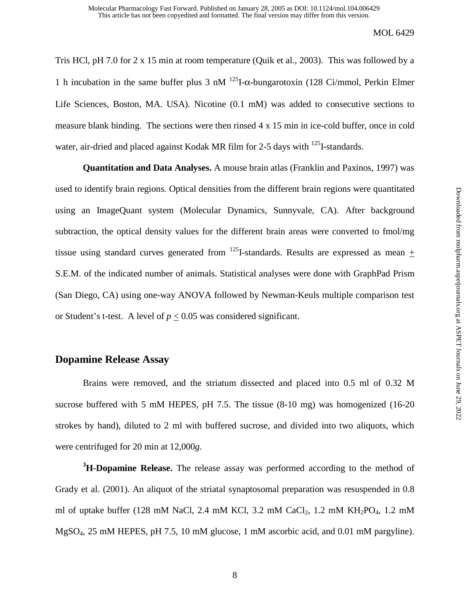Tris HCl, pH 7.0 for 2 x 15 min at room temperature (Quik et al., 2003). This was followed by a 1 h incubation in the same buffer plus 3 nM  $^{125}$ I- $\alpha$ -bungarotoxin (128 Ci/mmol, Perkin Elmer Life Sciences, Boston, MA. USA). Nicotine (0.1 mM) was added to consecutive sections to measure blank binding. The sections were then rinsed 4 x 15 min in ice-cold buffer, once in cold water, air-dried and placed against Kodak MR film for 2-5 days with <sup>125</sup>I-standards.

**Quantitation and Data Analyses.** A mouse brain atlas (Franklin and Paxinos, 1997) was used to identify brain regions. Optical densities from the different brain regions were quantitated using an ImageQuant system (Molecular Dynamics, Sunnyvale, CA). After background subtraction, the optical density values for the different brain areas were converted to fmol/mg tissue using standard curves generated from  $^{125}$ I-standards. Results are expressed as mean  $+$ S.E.M. of the indicated number of animals. Statistical analyses were done with GraphPad Prism (San Diego, CA) using one-way ANOVA followed by Newman-Keuls multiple comparison test or Student's t-test. A level of  $p \le 0.05$  was considered significant.

### **Dopamine Release Assay**

 Brains were removed, and the striatum dissected and placed into 0.5 ml of 0.32 M sucrose buffered with 5 mM HEPES, pH 7.5. The tissue (8-10 mg) was homogenized (16-20 strokes by hand), diluted to 2 ml with buffered sucrose, and divided into two aliquots, which were centrifuged for 20 min at 12,000*g*.

**3 H-Dopamine Release.** The release assay was performed according to the method of Grady et al. (2001). An aliquot of the striatal synaptosomal preparation was resuspended in 0.8 ml of uptake buffer (128 mM NaCl, 2.4 mM KCl, 3.2 mM CaCl<sub>2</sub>, 1.2 mM KH<sub>2</sub>PO<sub>4</sub>, 1.2 mM MgSO4, 25 mM HEPES, pH 7.5, 10 mM glucose, 1 mM ascorbic acid, and 0.01 mM pargyline).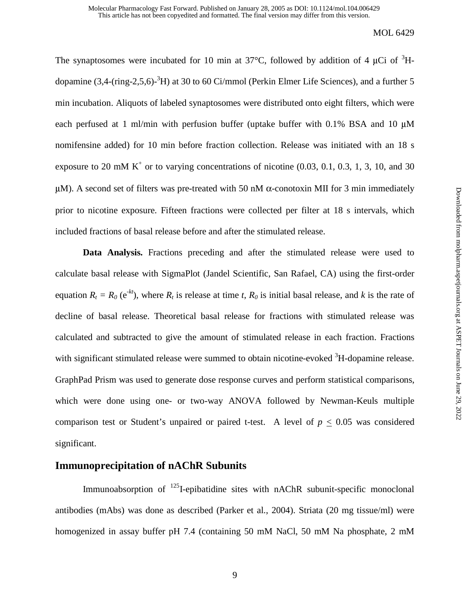The synaptosomes were incubated for 10 min at 37 $\degree$ C, followed by addition of 4 µCi of  $\degree$ Hdopamine (3,4-(ring-2,5,6)-<sup>3</sup>H) at 30 to 60 Ci/mmol (Perkin Elmer Life Sciences), and a further 5 min incubation. Aliquots of labeled synaptosomes were distributed onto eight filters, which were each perfused at 1 ml/min with perfusion buffer (uptake buffer with  $0.1\%$  BSA and 10  $\mu$ M nomifensine added) for 10 min before fraction collection. Release was initiated with an 18 s exposure to 20 mM  $K^+$  or to varying concentrations of nicotine  $(0.03, 0.1, 0.3, 1, 3, 10,$  and 30  $\mu$ M). A second set of filters was pre-treated with 50 nM  $\alpha$ -conotoxin MII for 3 min immediately prior to nicotine exposure. Fifteen fractions were collected per filter at 18 s intervals, which included fractions of basal release before and after the stimulated release.

 **Data Analysis.** Fractions preceding and after the stimulated release were used to calculate basal release with SigmaPlot (Jandel Scientific, San Rafael, CA) using the first-order equation  $R_t = R_0$  (e<sup>-kt</sup>), where  $R_t$  is release at time *t*,  $R_0$  is initial basal release, and *k* is the rate of decline of basal release. Theoretical basal release for fractions with stimulated release was calculated and subtracted to give the amount of stimulated release in each fraction. Fractions with significant stimulated release were summed to obtain nicotine-evoked <sup>3</sup>H-dopamine release. GraphPad Prism was used to generate dose response curves and perform statistical comparisons, which were done using one- or two-way ANOVA followed by Newman-Keuls multiple comparison test or Student's unpaired or paired t-test. A level of  $p < 0.05$  was considered significant.

# **Immunoprecipitation of nAChR Subunits**

Immunoabsorption of  $^{125}$ I-epibatidine sites with nAChR subunit-specific monoclonal antibodies (mAbs) was done as described (Parker et al., 2004). Striata (20 mg tissue/ml) were homogenized in assay buffer pH 7.4 (containing 50 mM NaCl, 50 mM Na phosphate, 2 mM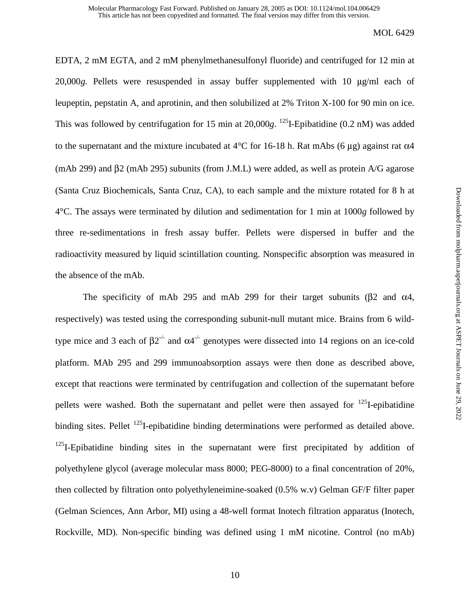EDTA, 2 mM EGTA, and 2 mM phenylmethanesulfonyl fluoride) and centrifuged for 12 min at 20,000*g.* Pellets were resuspended in assay buffer supplemented with 10 µg/ml each of leupeptin, pepstatin A, and aprotinin, and then solubilized at 2% Triton X-100 for 90 min on ice. This was followed by centrifugation for 15 min at  $20,000g$ . <sup>125</sup>I-Epibatidine (0.2 nM) was added to the supernatant and the mixture incubated at  $4^{\circ}$ C for 16-18 h. Rat mAbs (6 µg) against rat  $\alpha$ 4 (mAb 299) and β2 (mAb 295) subunits (from J.M.L) were added, as well as protein A/G agarose (Santa Cruz Biochemicals, Santa Cruz, CA), to each sample and the mixture rotated for 8 h at 4°C. The assays were terminated by dilution and sedimentation for 1 min at 1000*g* followed by three re-sedimentations in fresh assay buffer. Pellets were dispersed in buffer and the radioactivity measured by liquid scintillation counting. Nonspecific absorption was measured in the absence of the mAb.

The specificity of mAb 295 and mAb 299 for their target subunits ( $\beta$ 2 and  $\alpha$ 4, respectively) was tested using the corresponding subunit-null mutant mice. Brains from 6 wildtype mice and 3 each of  $\beta 2^{-1}$  and  $\alpha 4^{-1}$  genotypes were dissected into 14 regions on an ice-cold platform. MAb 295 and 299 immunoabsorption assays were then done as described above, except that reactions were terminated by centrifugation and collection of the supernatant before pellets were washed. Both the supernatant and pellet were then assayed for  $125$ I-epibatidine binding sites. Pellet <sup>125</sup>I-epibatidine binding determinations were performed as detailed above.  $125$ I-Epibatidine binding sites in the supernatant were first precipitated by addition of polyethylene glycol (average molecular mass 8000; PEG-8000) to a final concentration of 20%, then collected by filtration onto polyethyleneimine-soaked (0.5% w.v) Gelman GF/F filter paper (Gelman Sciences, Ann Arbor, MI) using a 48-well format Inotech filtration apparatus (Inotech, Rockville, MD). Non-specific binding was defined using 1 mM nicotine. Control (no mAb)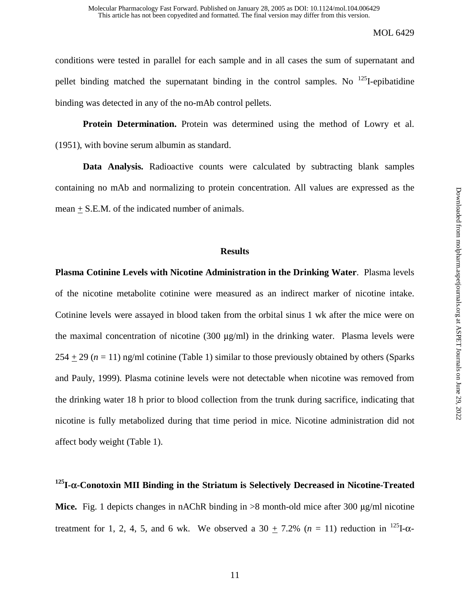conditions were tested in parallel for each sample and in all cases the sum of supernatant and pellet binding matched the supernatant binding in the control samples. No  $^{125}$ I-epibatidine binding was detected in any of the no-mAb control pellets.

**Protein Determination.** Protein was determined using the method of Lowry et al. (1951), with bovine serum albumin as standard.

Data Analysis. Radioactive counts were calculated by subtracting blank samples containing no mAb and normalizing to protein concentration. All values are expressed as the mean + S.E.M. of the indicated number of animals.

#### **Results**

**Plasma Cotinine Levels with Nicotine Administration in the Drinking Water**. Plasma levels of the nicotine metabolite cotinine were measured as an indirect marker of nicotine intake. Cotinine levels were assayed in blood taken from the orbital sinus 1 wk after the mice were on the maximal concentration of nicotine (300  $\mu$ g/ml) in the drinking water. Plasma levels were  $254 + 29$  ( $n = 11$ ) ng/ml cotinine (Table 1) similar to those previously obtained by others (Sparks and Pauly, 1999). Plasma cotinine levels were not detectable when nicotine was removed from the drinking water 18 h prior to blood collection from the trunk during sacrifice, indicating that nicotine is fully metabolized during that time period in mice. Nicotine administration did not affect body weight (Table 1).

**125I-**α**-Conotoxin MII Binding in the Striatum is Selectively Decreased in Nicotine-Treated Mice.** Fig. 1 depicts changes in nAChR binding in  $>8$  month-old mice after 300  $\mu$ g/ml nicotine treatment for 1, 2, 4, 5, and 6 wk. We observed a 30  $\pm$  7.2% (*n* = 11) reduction in <sup>125</sup>I- $\alpha$ -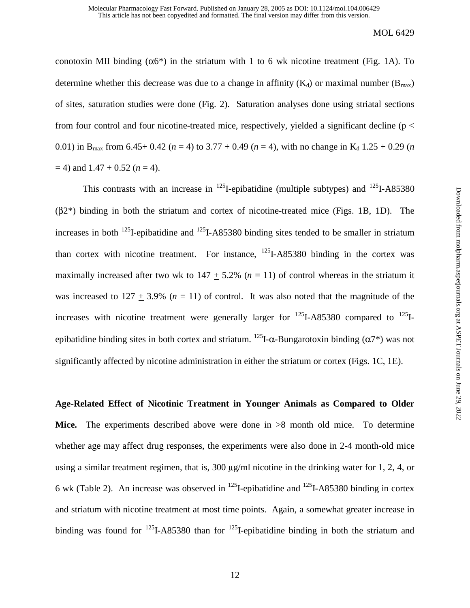conotoxin MII binding  $(\alpha 6^*)$  in the striatum with 1 to 6 wk nicotine treatment (Fig. 1A). To determine whether this decrease was due to a change in affinity  $(K_d)$  or maximal number  $(B_{max})$ of sites, saturation studies were done (Fig. 2). Saturation analyses done using striatal sections from four control and four nicotine-treated mice, respectively, yielded a significant decline ( $p <$ 0.01) in B<sub>max</sub> from 6.45 + 0.42 ( $n = 4$ ) to 3.77 + 0.49 ( $n = 4$ ), with no change in K<sub>d</sub> 1.25 + 0.29 ( $n = 0$ )  $= 4$ ) and  $1.47 \pm 0.52$  ( $n = 4$ ).

This contrasts with an increase in  $^{125}$ I-epibatidine (multiple subtypes) and  $^{125}$ I-A85380  $(β2*)$  binding in both the striatum and cortex of nicotine-treated mice (Figs. 1B, 1D). The increases in both  $^{125}$ I-epibatidine and  $^{125}$ I-A85380 binding sites tended to be smaller in striatum than cortex with nicotine treatment. For instance,  $^{125}$ I-A85380 binding in the cortex was maximally increased after two wk to  $147 + 5.2\%$  ( $n = 11$ ) of control whereas in the striatum it was increased to  $127 + 3.9\%$  ( $n = 11$ ) of control. It was also noted that the magnitude of the increases with nicotine treatment were generally larger for  $^{125}$ I-A85380 compared to  $^{125}$ Iepibatidine binding sites in both cortex and striatum. <sup>125</sup>I- $\alpha$ -Bungarotoxin binding ( $\alpha$ 7\*) was not significantly affected by nicotine administration in either the striatum or cortex (Figs. 1C, 1E).

**Age-Related Effect of Nicotinic Treatment in Younger Animals as Compared to Older Mice.** The experiments described above were done in >8 month old mice. To determine whether age may affect drug responses, the experiments were also done in 2-4 month-old mice using a similar treatment regimen, that is, 300  $\mu$ g/ml nicotine in the drinking water for 1, 2, 4, or 6 wk (Table 2). An increase was observed in  $^{125}$ I-epibatidine and  $^{125}$ I-A85380 binding in cortex and striatum with nicotine treatment at most time points. Again, a somewhat greater increase in binding was found for <sup>125</sup>I-A85380 than for <sup>125</sup>I-epibatidine binding in both the striatum and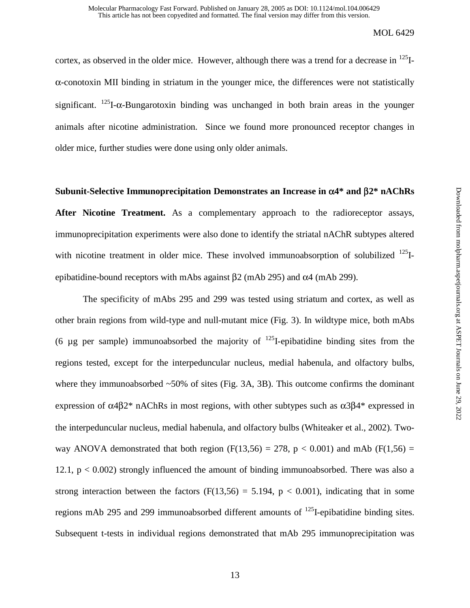cortex, as observed in the older mice. However, although there was a trend for a decrease in  $^{125}$ Iα-conotoxin MII binding in striatum in the younger mice, the differences were not statistically significant. <sup>125</sup>I- $\alpha$ -Bungarotoxin binding was unchanged in both brain areas in the younger animals after nicotine administration. Since we found more pronounced receptor changes in older mice, further studies were done using only older animals.

**Subunit-Selective Immunoprecipitation Demonstrates an Increase in** α**4\* and** β**2\* nAChRs After Nicotine Treatment.** As a complementary approach to the radioreceptor assays, immunoprecipitation experiments were also done to identify the striatal nAChR subtypes altered with nicotine treatment in older mice. These involved immunoabsorption of solubilized <sup>125</sup>Iepibatidine-bound receptors with mAbs against  $\beta$ 2 (mAb 295) and  $\alpha$ 4 (mAb 299).

 The specificity of mAbs 295 and 299 was tested using striatum and cortex, as well as other brain regions from wild-type and null-mutant mice (Fig. 3). In wildtype mice, both mAbs (6 µg per sample) immunoabsorbed the majority of  $^{125}$ I-epibatidine binding sites from the regions tested, except for the interpeduncular nucleus, medial habenula, and olfactory bulbs, where they immunoabsorbed ~50% of sites (Fig. 3A, 3B). This outcome confirms the dominant expression of  $\alpha$ 4 $\beta$ 2\* nAChRs in most regions, with other subtypes such as  $\alpha$ 3 $\beta$ 4\* expressed in the interpeduncular nucleus, medial habenula, and olfactory bulbs (Whiteaker et al., 2002). Twoway ANOVA demonstrated that both region  $(F(13,56) = 278, p < 0.001)$  and mAb  $(F(1,56) =$ 12.1,  $p < 0.002$ ) strongly influenced the amount of binding immunoabsorbed. There was also a strong interaction between the factors  $(F(13,56) = 5.194, p < 0.001)$ , indicating that in some regions mAb 295 and 299 immunoabsorbed different amounts of  $^{125}$ I-epibatidine binding sites. Subsequent t-tests in individual regions demonstrated that mAb 295 immunoprecipitation was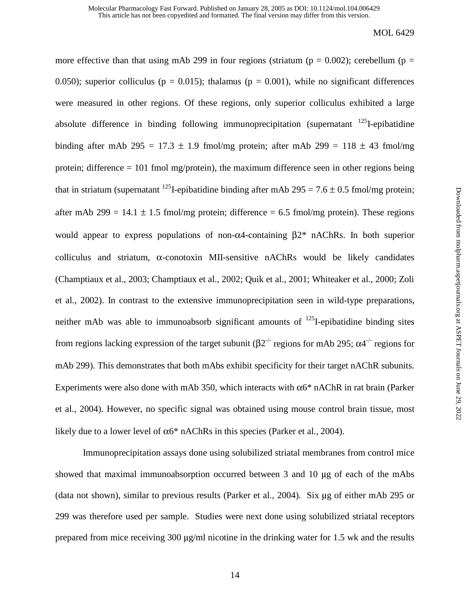more effective than that using mAb 299 in four regions (striatum ( $p = 0.002$ ); cerebellum ( $p =$ 0.050); superior colliculus ( $p = 0.015$ ); thalamus ( $p = 0.001$ ), while no significant differences were measured in other regions. Of these regions, only superior colliculus exhibited a large absolute difference in binding following immunoprecipitation (supernatant  $^{125}$ I-epibatidine binding after mAb 295 = 17.3  $\pm$  1.9 fmol/mg protein; after mAb 299 = 118  $\pm$  43 fmol/mg protein; difference  $= 101$  fmol mg/protein), the maximum difference seen in other regions being that in striatum (supernatant <sup>125</sup>I-epibatidine binding after mAb 295 =  $7.6 \pm 0.5$  fmol/mg protein; after mAb 299 = 14.1  $\pm$  1.5 fmol/mg protein; difference = 6.5 fmol/mg protein). These regions would appear to express populations of non-α4-containing β2\* nAChRs. In both superior colliculus and striatum, α-conotoxin MII-sensitive nAChRs would be likely candidates (Champtiaux et al., 2003; Champtiaux et al., 2002; Quik et al., 2001; Whiteaker et al., 2000; Zoli et al., 2002). In contrast to the extensive immunoprecipitation seen in wild-type preparations, neither mAb was able to immunoabsorb significant amounts of  $^{125}$ I-epibatidine binding sites from regions lacking expression of the target subunit (β2<sup>-/-</sup> regions for mAb 295;  $\alpha$ 4<sup>-/-</sup> regions for mAb 299). This demonstrates that both mAbs exhibit specificity for their target nAChR subunits. Experiments were also done with mAb 350, which interacts with  $\alpha$ 6<sup>\*</sup> nAChR in rat brain (Parker et al., 2004). However, no specific signal was obtained using mouse control brain tissue, most likely due to a lower level of  $\alpha 6^*$  nAChRs in this species (Parker et al., 2004).

Immunoprecipitation assays done using solubilized striatal membranes from control mice showed that maximal immunoabsorption occurred between 3 and 10 µg of each of the mAbs (data not shown), similar to previous results (Parker et al., 2004). Six µg of either mAb 295 or 299 was therefore used per sample. Studies were next done using solubilized striatal receptors prepared from mice receiving 300 µg/ml nicotine in the drinking water for 1.5 wk and the results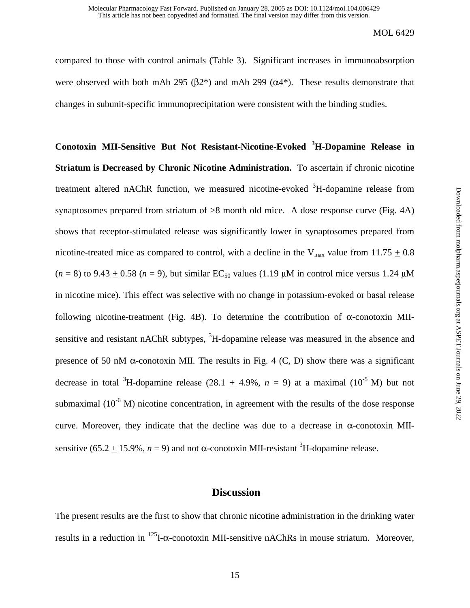compared to those with control animals (Table 3). Significant increases in immunoabsorption were observed with both mAb 295 ( $\beta$ 2\*) and mAb 299 ( $\alpha$ 4\*). These results demonstrate that changes in subunit-specific immunoprecipitation were consistent with the binding studies.

**Conotoxin MII-Sensitive But Not Resistant-Nicotine-Evoked <sup>3</sup> H-Dopamine Release in Striatum is Decreased by Chronic Nicotine Administration.** To ascertain if chronic nicotine treatment altered nAChR function, we measured nicotine-evoked <sup>3</sup>H-dopamine release from synaptosomes prepared from striatum of >8 month old mice. A dose response curve (Fig. 4A) shows that receptor-stimulated release was significantly lower in synaptosomes prepared from nicotine-treated mice as compared to control, with a decline in the  $V_{max}$  value from 11.75  $\pm$  0.8  $(n = 8)$  to 9.43  $\pm$  0.58  $(n = 9)$ , but similar EC<sub>50</sub> values (1.19  $\mu$ M in control mice versus 1.24  $\mu$ M in nicotine mice). This effect was selective with no change in potassium-evoked or basal release following nicotine-treatment (Fig. 4B). To determine the contribution of  $\alpha$ -conotoxin MIIsensitive and resistant nAChR subtypes, <sup>3</sup>H-dopamine release was measured in the absence and presence of 50 nM  $\alpha$ -conotoxin MII. The results in Fig. 4 (C, D) show there was a significant decrease in total <sup>3</sup>H-dopamine release (28.1  $\pm$  4.9%, *n* = 9) at a maximal (10<sup>-5</sup> M) but not submaximal ( $10^{-6}$  M) nicotine concentration, in agreement with the results of the dose response curve. Moreover, they indicate that the decline was due to a decrease in  $\alpha$ -conotoxin MIIsensitive (65.2  $\pm$  15.9%, *n* = 9) and not  $\alpha$ -conotoxin MII-resistant <sup>3</sup>H-dopamine release.

# **Discussion**

The present results are the first to show that chronic nicotine administration in the drinking water results in a reduction in  $^{125}I$ - $\alpha$ -conotoxin MII-sensitive nAChRs in mouse striatum. Moreover,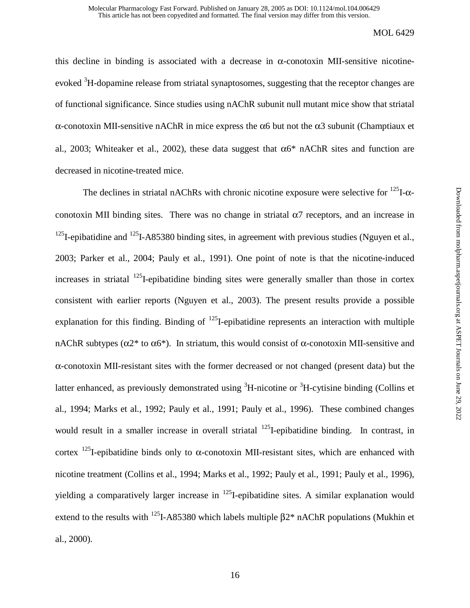this decline in binding is associated with a decrease in  $\alpha$ -conotoxin MII-sensitive nicotineevoked <sup>3</sup>H-dopamine release from striatal synaptosomes, suggesting that the receptor changes are of functional significance. Since studies using nAChR subunit null mutant mice show that striatal α-conotoxin MII-sensitive nAChR in mice express the α6 but not the α3 subunit (Champtiaux et al., 2003; Whiteaker et al., 2002), these data suggest that  $\alpha 6^*$  nAChR sites and function are decreased in nicotine-treated mice.

The declines in striatal nAChRs with chronic nicotine exposure were selective for  $^{125}I$ - $\alpha$ conotoxin MII binding sites. There was no change in striatal  $\alpha$ 7 receptors, and an increase in <sup>125</sup>I-epibatidine and <sup>125</sup>I-A85380 binding sites, in agreement with previous studies (Nguyen et al., 2003; Parker et al., 2004; Pauly et al., 1991). One point of note is that the nicotine-induced increases in striatal  $^{125}$ I-epibatidine binding sites were generally smaller than those in cortex consistent with earlier reports (Nguyen et al., 2003). The present results provide a possible explanation for this finding. Binding of  $^{125}$ -epibatidine represents an interaction with multiple nAChR subtypes ( $α2$ <sup>\*</sup> to  $α6$ <sup>\*</sup>). In striatum, this would consist of  $α$ -conotoxin MII-sensitive and α-conotoxin MII-resistant sites with the former decreased or not changed (present data) but the latter enhanced, as previously demonstrated using <sup>3</sup>H-nicotine or <sup>3</sup>H-cytisine binding (Collins et al., 1994; Marks et al., 1992; Pauly et al., 1991; Pauly et al., 1996). These combined changes would result in a smaller increase in overall striatal <sup>125</sup>I-epibatidine binding. In contrast, in cortex  $^{125}$ I-epibatidine binds only to  $\alpha$ -conotoxin MII-resistant sites, which are enhanced with nicotine treatment (Collins et al., 1994; Marks et al., 1992; Pauly et al., 1991; Pauly et al., 1996), yielding a comparatively larger increase in <sup>125</sup>I-epibatidine sites. A similar explanation would extend to the results with <sup>125</sup>I-A85380 which labels multiple  $\beta$ 2\* nAChR populations (Mukhin et al., 2000).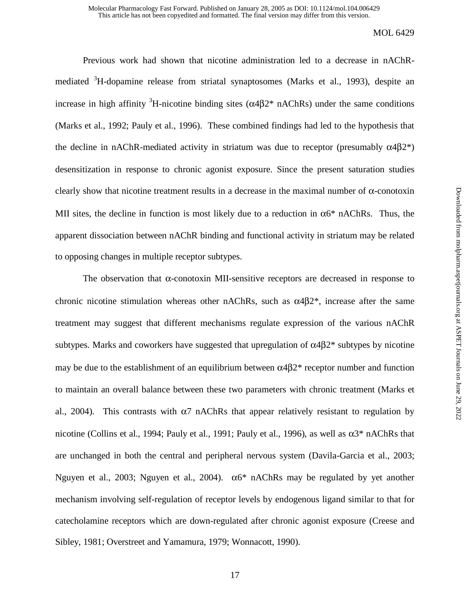Previous work had shown that nicotine administration led to a decrease in nAChRmediated <sup>3</sup>H-dopamine release from striatal synaptosomes (Marks et al., 1993), despite an increase in high affinity <sup>3</sup>H-nicotine binding sites ( $\alpha$ 4 $\beta$ 2\* nAChRs) under the same conditions (Marks et al., 1992; Pauly et al., 1996). These combined findings had led to the hypothesis that the decline in nAChR-mediated activity in striatum was due to receptor (presumably  $\alpha$ 4 $\beta$ 2<sup>\*</sup>) desensitization in response to chronic agonist exposure. Since the present saturation studies clearly show that nicotine treatment results in a decrease in the maximal number of  $\alpha$ -conotoxin MII sites, the decline in function is most likely due to a reduction in  $\alpha 6^*$  nAChRs. Thus, the apparent dissociation between nAChR binding and functional activity in striatum may be related to opposing changes in multiple receptor subtypes.

The observation that  $\alpha$ -conotoxin MII-sensitive receptors are decreased in response to chronic nicotine stimulation whereas other nAChRs, such as  $\alpha$ 4 $\beta$ 2<sup>\*</sup>, increase after the same treatment may suggest that different mechanisms regulate expression of the various nAChR subtypes. Marks and coworkers have suggested that upregulation of  $\alpha$ 4 $\beta$ 2\* subtypes by nicotine may be due to the establishment of an equilibrium between  $\alpha$ 4 $\beta$ 2\* receptor number and function to maintain an overall balance between these two parameters with chronic treatment (Marks et al., 2004). This contrasts with  $\alpha$ 7 nAChRs that appear relatively resistant to regulation by nicotine (Collins et al., 1994; Pauly et al., 1991; Pauly et al., 1996), as well as α3\* nAChRs that are unchanged in both the central and peripheral nervous system (Davila-Garcia et al., 2003; Nguyen et al., 2003; Nguyen et al., 2004). α6\* nAChRs may be regulated by yet another mechanism involving self-regulation of receptor levels by endogenous ligand similar to that for catecholamine receptors which are down-regulated after chronic agonist exposure (Creese and Sibley, 1981; Overstreet and Yamamura, 1979; Wonnacott, 1990).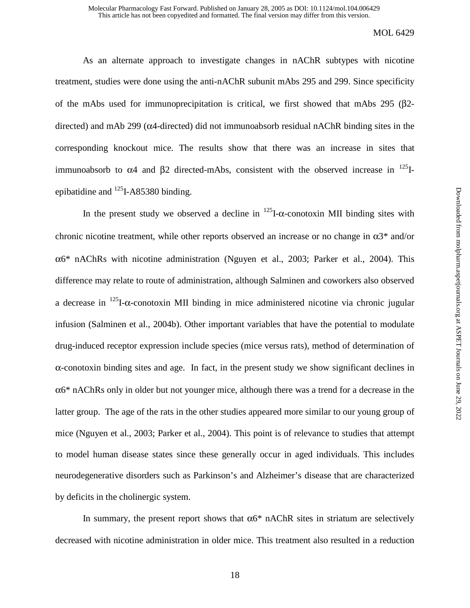As an alternate approach to investigate changes in nAChR subtypes with nicotine treatment, studies were done using the anti-nAChR subunit mAbs 295 and 299. Since specificity of the mAbs used for immunoprecipitation is critical, we first showed that mAbs 295 (β2 directed) and mAb 299 (α4-directed) did not immunoabsorb residual nAChR binding sites in the corresponding knockout mice. The results show that there was an increase in sites that immunoabsorb to  $α$ 4 and  $β$ 2 directed-mAbs, consistent with the observed increase in <sup>125</sup>Iepibatidine and  $^{125}$ I-A85380 binding.

In the present study we observed a decline in  $^{125}I$ - $\alpha$ -conotoxin MII binding sites with chronic nicotine treatment, while other reports observed an increase or no change in  $\alpha$ 3\* and/or α6\* nAChRs with nicotine administration (Nguyen et al., 2003; Parker et al., 2004). This difference may relate to route of administration, although Salminen and coworkers also observed a decrease in  $^{125}I$ - $\alpha$ -conotoxin MII binding in mice administered nicotine via chronic jugular infusion (Salminen et al., 2004b). Other important variables that have the potential to modulate drug-induced receptor expression include species (mice versus rats), method of determination of α-conotoxin binding sites and age. In fact, in the present study we show significant declines in α6\* nAChRs only in older but not younger mice, although there was a trend for a decrease in the latter group. The age of the rats in the other studies appeared more similar to our young group of mice (Nguyen et al., 2003; Parker et al., 2004). This point is of relevance to studies that attempt to model human disease states since these generally occur in aged individuals. This includes neurodegenerative disorders such as Parkinson's and Alzheimer's disease that are characterized by deficits in the cholinergic system.

In summary, the present report shows that  $\alpha$ 6<sup>\*</sup> nAChR sites in striatum are selectively decreased with nicotine administration in older mice. This treatment also resulted in a reduction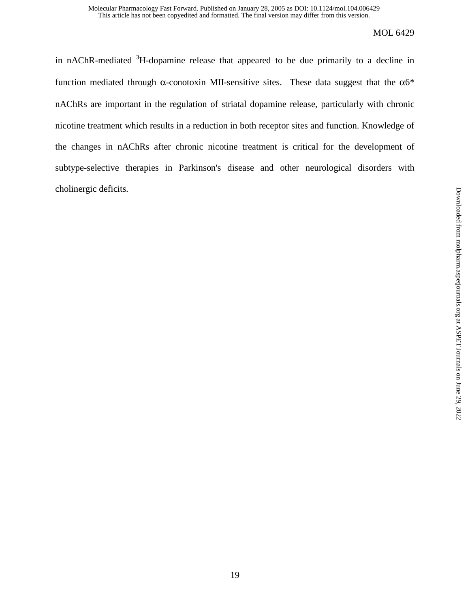in nAChR-mediated  ${}^{3}H$ -dopamine release that appeared to be due primarily to a decline in function mediated through  $\alpha$ -conotoxin MII-sensitive sites. These data suggest that the  $\alpha 6^*$ nAChRs are important in the regulation of striatal dopamine release, particularly with chronic nicotine treatment which results in a reduction in both receptor sites and function. Knowledge of the changes in nAChRs after chronic nicotine treatment is critical for the development of subtype-selective therapies in Parkinson's disease and other neurological disorders with cholinergic deficits.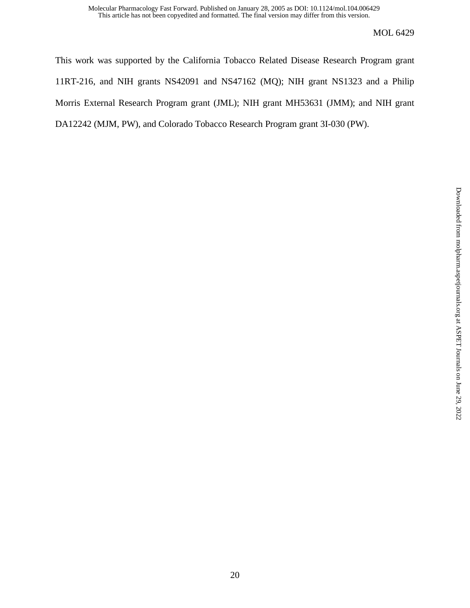This work was supported by the California Tobacco Related Disease Research Program grant 11RT-216, and NIH grants NS42091 and NS47162 (MQ); NIH grant NS1323 and a Philip Morris External Research Program grant (JML); NIH grant MH53631 (JMM); and NIH grant DA12242 (MJM, PW), and Colorado Tobacco Research Program grant 3I-030 (PW).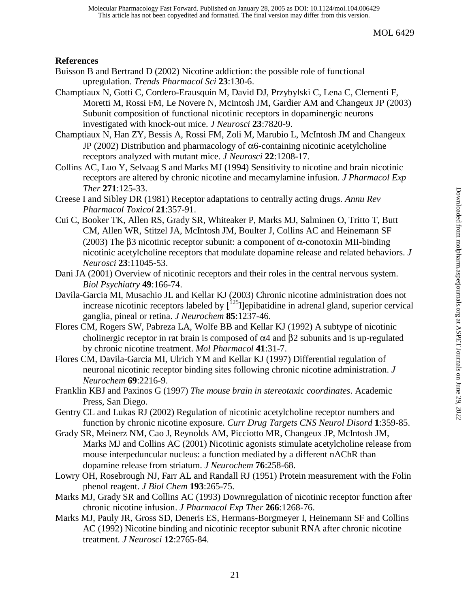### **References**

- Buisson B and Bertrand D (2002) Nicotine addiction: the possible role of functional upregulation. *Trends Pharmacol Sci* **23**:130-6.
- Champtiaux N, Gotti C, Cordero-Erausquin M, David DJ, Przybylski C, Lena C, Clementi F, Moretti M, Rossi FM, Le Novere N, McIntosh JM, Gardier AM and Changeux JP (2003) Subunit composition of functional nicotinic receptors in dopaminergic neurons investigated with knock-out mice. *J Neurosci* **23**:7820-9.
- Champtiaux N, Han ZY, Bessis A, Rossi FM, Zoli M, Marubio L, McIntosh JM and Changeux JP (2002) Distribution and pharmacology of α6-containing nicotinic acetylcholine receptors analyzed with mutant mice. *J Neurosci* **22**:1208-17.
- Collins AC, Luo Y, Selvaag S and Marks MJ (1994) Sensitivity to nicotine and brain nicotinic receptors are altered by chronic nicotine and mecamylamine infusion. *J Pharmacol Exp Ther* **271**:125-33.
- Creese I and Sibley DR (1981) Receptor adaptations to centrally acting drugs. *Annu Rev Pharmacol Toxicol* **21**:357-91.
- Cui C, Booker TK, Allen RS, Grady SR, Whiteaker P, Marks MJ, Salminen O, Tritto T, Butt CM, Allen WR, Stitzel JA, McIntosh JM, Boulter J, Collins AC and Heinemann SF (2003) The β3 nicotinic receptor subunit: a component of α-conotoxin MII-binding nicotinic acetylcholine receptors that modulate dopamine release and related behaviors. *J Neurosci* **23**:11045-53.
- Dani JA (2001) Overview of nicotinic receptors and their roles in the central nervous system. *Biol Psychiatry* **49**:166-74.
- Davila-Garcia MI, Musachio JL and Kellar KJ (2003) Chronic nicotine administration does not increase nicotinic receptors labeled by  $\int_{0}^{125}$  [lepibatidine in adrenal gland, superior cervical ganglia, pineal or retina. *J Neurochem* **85**:1237-46.
- Flores CM, Rogers SW, Pabreza LA, Wolfe BB and Kellar KJ (1992) A subtype of nicotinic cholinergic receptor in rat brain is composed of  $\alpha$ 4 and  $\beta$ 2 subunits and is up-regulated by chronic nicotine treatment. *Mol Pharmacol* **41**:31-7.
- Flores CM, Davila-Garcia MI, Ulrich YM and Kellar KJ (1997) Differential regulation of neuronal nicotinic receptor binding sites following chronic nicotine administration. *J Neurochem* **69**:2216-9.
- Franklin KBJ and Paxinos G (1997) *The mouse brain in stereotaxic coordinates*. Academic Press, San Diego.
- Gentry CL and Lukas RJ (2002) Regulation of nicotinic acetylcholine receptor numbers and function by chronic nicotine exposure. *Curr Drug Targets CNS Neurol Disord* **1**:359-85.
- Grady SR, Meinerz NM, Cao J, Reynolds AM, Picciotto MR, Changeux JP, McIntosh JM, Marks MJ and Collins AC (2001) Nicotinic agonists stimulate acetylcholine release from mouse interpeduncular nucleus: a function mediated by a different nAChR than dopamine release from striatum. *J Neurochem* **76**:258-68.
- Lowry OH, Rosebrough NJ, Farr AL and Randall RJ (1951) Protein measurement with the Folin phenol reagent. *J Biol Chem* **193**:265-75.
- Marks MJ, Grady SR and Collins AC (1993) Downregulation of nicotinic receptor function after chronic nicotine infusion. *J Pharmacol Exp Ther* **266**:1268-76.
- Marks MJ, Pauly JR, Gross SD, Deneris ES, Hermans-Borgmeyer I, Heinemann SF and Collins AC (1992) Nicotine binding and nicotinic receptor subunit RNA after chronic nicotine treatment. *J Neurosci* **12**:2765-84.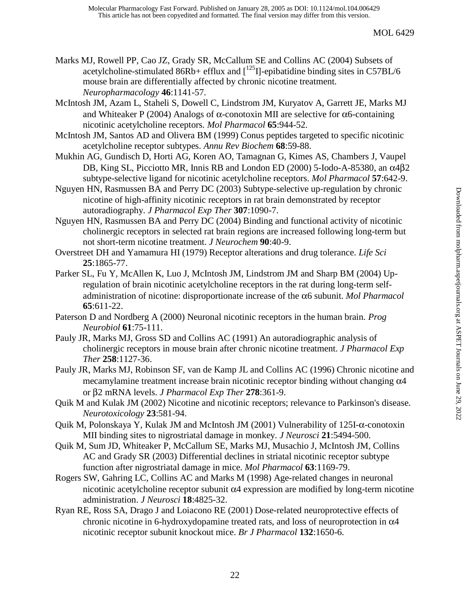- Marks MJ, Rowell PP, Cao JZ, Grady SR, McCallum SE and Collins AC (2004) Subsets of acetylcholine-stimulated 86Rb+ efflux and  $\int^{125}$  []-epibatidine binding sites in C57BL/6 mouse brain are differentially affected by chronic nicotine treatment. *Neuropharmacology* **46**:1141-57.
- McIntosh JM, Azam L, Staheli S, Dowell C, Lindstrom JM, Kuryatov A, Garrett JE, Marks MJ and Whiteaker P (2004) Analogs of  $\alpha$ -conotoxin MII are selective for  $\alpha$ 6-containing nicotinic acetylcholine receptors. *Mol Pharmacol* **65**:944-52.
- McIntosh JM, Santos AD and Olivera BM (1999) Conus peptides targeted to specific nicotinic acetylcholine receptor subtypes. *Annu Rev Biochem* **68**:59-88.
- Mukhin AG, Gundisch D, Horti AG, Koren AO, Tamagnan G, Kimes AS, Chambers J, Vaupel DB, King SL, Picciotto MR, Innis RB and London ED (2000) 5-Iodo-A-85380, an α4β2 subtype-selective ligand for nicotinic acetylcholine receptors. *Mol Pharmacol* **57**:642-9.
- Nguyen HN, Rasmussen BA and Perry DC (2003) Subtype-selective up-regulation by chronic nicotine of high-affinity nicotinic receptors in rat brain demonstrated by receptor autoradiography. *J Pharmacol Exp Ther* **307**:1090-7.
- Nguyen HN, Rasmussen BA and Perry DC (2004) Binding and functional activity of nicotinic cholinergic receptors in selected rat brain regions are increased following long-term but not short-term nicotine treatment. *J Neurochem* **90**:40-9.
- Overstreet DH and Yamamura HI (1979) Receptor alterations and drug tolerance. *Life Sci* **25**:1865-77.
- Parker SL, Fu Y, McAllen K, Luo J, McIntosh JM, Lindstrom JM and Sharp BM (2004) Upregulation of brain nicotinic acetylcholine receptors in the rat during long-term selfadministration of nicotine: disproportionate increase of the α6 subunit. *Mol Pharmacol* **65**:611-22.
- Paterson D and Nordberg A (2000) Neuronal nicotinic receptors in the human brain. *Prog Neurobiol* **61**:75-111.
- Pauly JR, Marks MJ, Gross SD and Collins AC (1991) An autoradiographic analysis of cholinergic receptors in mouse brain after chronic nicotine treatment. *J Pharmacol Exp Ther* **258**:1127-36.
- Pauly JR, Marks MJ, Robinson SF, van de Kamp JL and Collins AC (1996) Chronic nicotine and mecamylamine treatment increase brain nicotinic receptor binding without changing α4 or β2 mRNA levels. *J Pharmacol Exp Ther* **278**:361-9.
- Quik M and Kulak JM (2002) Nicotine and nicotinic receptors; relevance to Parkinson's disease. *Neurotoxicology* **23**:581-94.
- Quik M, Polonskaya Y, Kulak JM and McIntosh JM (2001) Vulnerability of 125I-α-conotoxin MII binding sites to nigrostriatal damage in monkey. *J Neurosci* **21**:5494-500.
- Quik M, Sum JD, Whiteaker P, McCallum SE, Marks MJ, Musachio J, McIntosh JM, Collins AC and Grady SR (2003) Differential declines in striatal nicotinic receptor subtype function after nigrostriatal damage in mice. *Mol Pharmacol* **63**:1169-79.
- Rogers SW, Gahring LC, Collins AC and Marks M (1998) Age-related changes in neuronal nicotinic acetylcholine receptor subunit  $α4$  expression are modified by long-term nicotine administration. *J Neurosci* **18**:4825-32.
- Ryan RE, Ross SA, Drago J and Loiacono RE (2001) Dose-related neuroprotective effects of chronic nicotine in 6-hydroxydopamine treated rats, and loss of neuroprotection in α4 nicotinic receptor subunit knockout mice. *Br J Pharmacol* **132**:1650-6.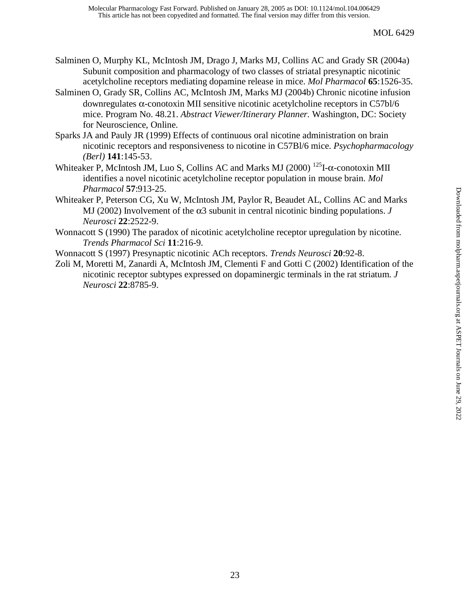- Salminen O, Murphy KL, McIntosh JM, Drago J, Marks MJ, Collins AC and Grady SR (2004a) Subunit composition and pharmacology of two classes of striatal presynaptic nicotinic acetylcholine receptors mediating dopamine release in mice. *Mol Pharmacol* **65**:1526-35.
- Salminen O, Grady SR, Collins AC, McIntosh JM, Marks MJ (2004b) Chronic nicotine infusion downregulates α-conotoxin MII sensitive nicotinic acetylcholine receptors in C57bl/6 mice. Program No. 48.21. *Abstract Viewer/Itinerary Planner.* Washington, DC: Society for Neuroscience, Online.
- Sparks JA and Pauly JR (1999) Effects of continuous oral nicotine administration on brain nicotinic receptors and responsiveness to nicotine in C57Bl/6 mice. *Psychopharmacology (Berl)* **141**:145-53.
- Whiteaker P, McIntosh JM, Luo S, Collins AC and Marks MJ (2000) <sup>125</sup>I- $\alpha$ -conotoxin MII identifies a novel nicotinic acetylcholine receptor population in mouse brain. *Mol Pharmacol* **57**:913-25.
- Whiteaker P, Peterson CG, Xu W, McIntosh JM, Paylor R, Beaudet AL, Collins AC and Marks MJ (2002) Involvement of the α3 subunit in central nicotinic binding populations. *J Neurosci* **22**:2522-9.
- Wonnacott S (1990) The paradox of nicotinic acetylcholine receptor upregulation by nicotine. *Trends Pharmacol Sci* **11**:216-9.

Wonnacott S (1997) Presynaptic nicotinic ACh receptors. *Trends Neurosci* **20**:92-8.

Zoli M, Moretti M, Zanardi A, McIntosh JM, Clementi F and Gotti C (2002) Identification of the nicotinic receptor subtypes expressed on dopaminergic terminals in the rat striatum. *J Neurosci* **22**:8785-9.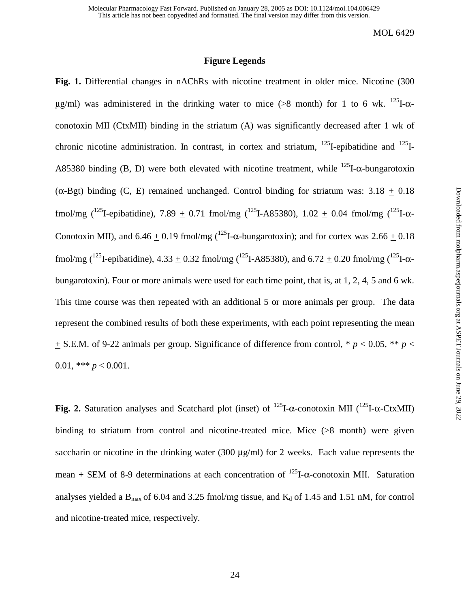### **Figure Legends**

**Fig. 1.** Differential changes in nAChRs with nicotine treatment in older mice. Nicotine (300  $\mu$ g/ml) was administered in the drinking water to mice (>8 month) for 1 to 6 wk. <sup>125</sup>I- $\alpha$ conotoxin MII (CtxMII) binding in the striatum (A) was significantly decreased after 1 wk of chronic nicotine administration. In contrast, in cortex and striatum, <sup>125</sup>I-epibatidine and <sup>125</sup>I-A85380 binding (B, D) were both elevated with nicotine treatment, while  $^{125}I-\alpha$ -bungarotoxin ( $\alpha$ -Bgt) binding (C, E) remained unchanged. Control binding for striatum was: 3.18  $\pm$  0.18 fmol/mg (<sup>125</sup>I-epibatidine), 7.89 + 0.71 fmol/mg (<sup>125</sup>I-A85380), 1.02 + 0.04 fmol/mg (<sup>125</sup>I- $\alpha$ -Conotoxin MII), and  $6.46 + 0.19$  fmol/mg (<sup>125</sup>I- $\alpha$ -bungarotoxin); and for cortex was 2.66 + 0.18 fmol/mg (<sup>125</sup>I-epibatidine),  $4.33 \pm 0.32$  fmol/mg (<sup>125</sup>I-A85380), and  $6.72 \pm 0.20$  fmol/mg (<sup>125</sup>I- $\alpha$ bungarotoxin). Four or more animals were used for each time point, that is, at 1, 2, 4, 5 and 6 wk. This time course was then repeated with an additional 5 or more animals per group. The data represent the combined results of both these experiments, with each point representing the mean  $\pm$  S.E.M. of 9-22 animals per group. Significance of difference from control, \* *p* < 0.05, \*\* *p* < 0.01, \*\*\*  $p < 0.001$ .

**Fig. 2.** Saturation analyses and Scatchard plot (inset) of  $^{125}I-\alpha$ -conotoxin MII ( $^{125}I-\alpha$ -CtxMII) binding to striatum from control and nicotine-treated mice. Mice (>8 month) were given saccharin or nicotine in the drinking water (300 µg/ml) for 2 weeks. Each value represents the mean  $\pm$  SEM of 8-9 determinations at each concentration of  $^{125}$ I- $\alpha$ -conotoxin MII. Saturation analyses yielded a  $B_{\text{max}}$  of 6.04 and 3.25 fmol/mg tissue, and  $K_d$  of 1.45 and 1.51 nM, for control and nicotine-treated mice, respectively.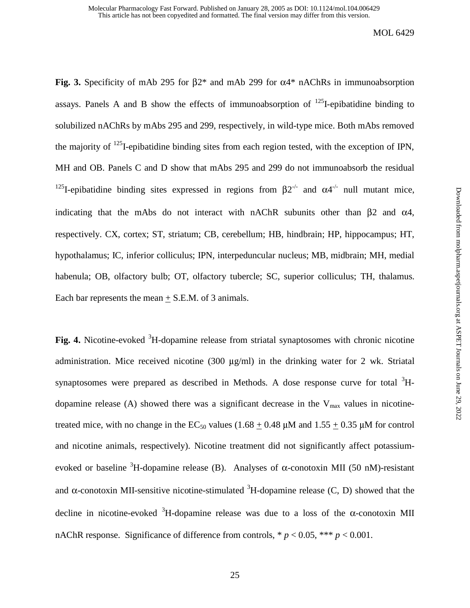**Fig. 3.** Specificity of mAb 295 for β2\* and mAb 299 for α4\* nAChRs in immunoabsorption assays. Panels A and B show the effects of immunoabsorption of  $^{125}$ I-epibatidine binding to solubilized nAChRs by mAbs 295 and 299, respectively, in wild-type mice. Both mAbs removed the majority of  $^{125}$ I-epibatidine binding sites from each region tested, with the exception of IPN, MH and OB. Panels C and D show that mAbs 295 and 299 do not immunoabsorb the residual <sup>125</sup>I-epibatidine binding sites expressed in regions from  $\beta 2^{-/-}$  and  $\alpha 4^{-/-}$  null mutant mice, indicating that the mAbs do not interact with nAChR subunits other than  $\beta$ 2 and  $\alpha$ 4, respectively. CX, cortex; ST, striatum; CB, cerebellum; HB, hindbrain; HP, hippocampus; HT, hypothalamus; IC, inferior colliculus; IPN, interpeduncular nucleus; MB, midbrain; MH, medial habenula; OB, olfactory bulb; OT, olfactory tubercle; SC, superior colliculus; TH, thalamus. Each bar represents the mean  $+$  S.E.M. of 3 animals.

Fig. 4. Nicotine-evoked <sup>3</sup>H-dopamine release from striatal synaptosomes with chronic nicotine administration. Mice received nicotine (300  $\mu$ g/ml) in the drinking water for 2 wk. Striatal synaptosomes were prepared as described in Methods. A dose response curve for total  ${}^{3}H$ dopamine release (A) showed there was a significant decrease in the  $V_{\text{max}}$  values in nicotinetreated mice, with no change in the  $EC_{50}$  values (1.68  $\pm$  0.48 µM and 1.55  $\pm$  0.35 µM for control and nicotine animals, respectively). Nicotine treatment did not significantly affect potassiumevoked or baseline  ${}^{3}H$ -dopamine release (B). Analyses of  $\alpha$ -conotoxin MII (50 nM)-resistant and  $\alpha$ -conotoxin MII-sensitive nicotine-stimulated  ${}^{3}H$ -dopamine release (C, D) showed that the decline in nicotine-evoked  $3H$ -dopamine release was due to a loss of the  $\alpha$ -conotoxin MII nAChR response. Significance of difference from controls,  $p < 0.05$ ,  $p \leq 0.001$ .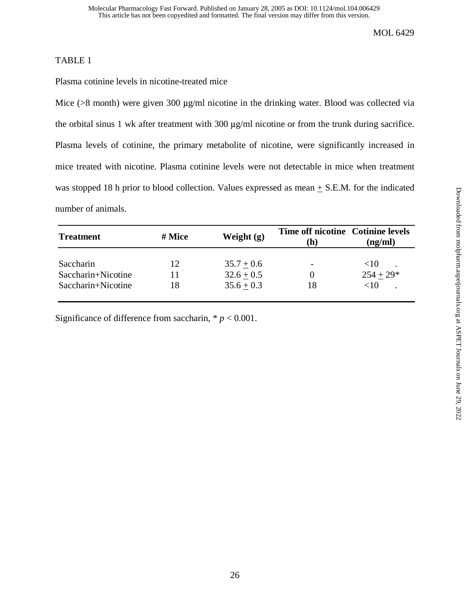# TABLE 1

Plasma cotinine levels in nicotine-treated mice

Mice ( $>8$  month) were given 300 µg/ml nicotine in the drinking water. Blood was collected via the orbital sinus 1 wk after treatment with 300 µg/ml nicotine or from the trunk during sacrifice. Plasma levels of cotinine, the primary metabolite of nicotine, were significantly increased in mice treated with nicotine. Plasma cotinine levels were not detectable in mice when treatment was stopped 18 h prior to blood collection. Values expressed as mean  $\pm$  S.E.M. for the indicated number of animals.

| <b>Treatment</b>   | # Mice | Weight $(g)$ | Time off nicotine Cotinine levels<br>(h) | (ng/ml)     |
|--------------------|--------|--------------|------------------------------------------|-------------|
| Saccharin          | 12     | $35.7 + 0.6$ | $\overline{\phantom{0}}$                 | <10         |
| Saccharin+Nicotine | 11     | $32.6 + 0.5$ |                                          | $254 + 29*$ |
| Saccharin+Nicotine | 18     | $35.6 + 0.3$ | 18                                       | <10         |

Significance of difference from saccharin,  $* p < 0.001$ .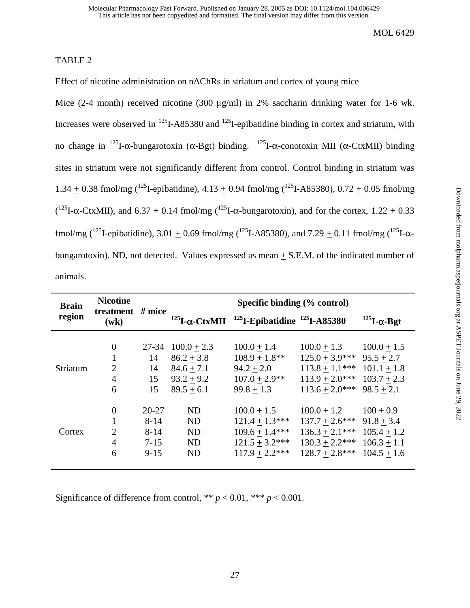## TABLE 2

Effect of nicotine administration on nAChRs in striatum and cortex of young mice

Mice (2-4 month) received nicotine (300 µg/ml) in 2% saccharin drinking water for 1-6 wk. Increases were observed in 125I-A85380 and 125I-epibatidine binding in cortex and striatum, with no change in <sup>125</sup>I-α-bungarotoxin (α-Bgt) binding. <sup>125</sup>I-α-conotoxin MII (α-CtxMII) binding sites in striatum were not significantly different from control. Control binding in striatum was 1.34  $\pm$  0.38 fmol/mg (<sup>125</sup>I-epibatidine), 4.13  $\pm$  0.94 fmol/mg (<sup>125</sup>I-A85380), 0.72  $\pm$  0.05 fmol/mg  $(1<sup>25</sup>I-α-CtxMI)$ , and 6.37  $\pm$  0.14 fmol/mg ( $1<sup>25</sup>I-α-bungarotoxin$ ), and for the cortex, 1.22  $\pm$  0.33 fmol/mg (<sup>125</sup>I-epibatidine), 3.01 + 0.69 fmol/mg (<sup>125</sup>I-A85380), and 7.29 + 0.11 fmol/mg (<sup>125</sup>I- $\alpha$ bungarotoxin). ND, not detected. Values expressed as mean + S.E.M. of the indicated number of animals.

| <b>Brain</b><br>region | <b>Nicotine</b><br>treatment<br>(wk) | $#$ mice  | Specific binding (% control) |                                                                                         |                  |                           |
|------------------------|--------------------------------------|-----------|------------------------------|-----------------------------------------------------------------------------------------|------------------|---------------------------|
|                        |                                      |           |                              | <sup>125</sup> I- $\alpha$ -CtxMII <sup>125</sup> I-Epibatidine <sup>125</sup> I-A85380 |                  | $^{125}$ I- $\alpha$ -Bgt |
|                        |                                      |           |                              |                                                                                         |                  |                           |
| Striatum               | $\overline{0}$                       | 27-34     | $100.0 + 2.3$                | $100.0 + 1.4$                                                                           | $100.0 + 1.3$    | $100.0 + 1.5$             |
|                        | 1                                    | 14        | $86.2 + 3.8$                 | $108.9 + 1.8**$                                                                         | $125.0 + 3.9***$ | $95.5 + 2.7$              |
|                        | $\overline{2}$                       | 14        | $84.6 + 7.1$                 | $94.2 + 2.0$                                                                            | $113.8 + 1.1***$ | $101.1 + 1.8$             |
|                        | $\overline{4}$                       | 15        | $93.2 + 9.2$                 | $107.0 + 2.9**$                                                                         | $113.9 + 2.0***$ | $103.7 \pm 2.3$           |
|                        | 6                                    | 15        | $89.5 + 6.1$                 | $99.8 + 1.3$                                                                            | $113.6 + 2.0***$ | $98.5 + 2.1$              |
| Cortex                 | $\overline{0}$                       | $20 - 27$ | <b>ND</b>                    | $100.0 + 1.5$                                                                           | $100.0 + 1.2$    | $100 + 0.9$               |
|                        | $\mathbf{1}$                         | $8 - 14$  | N <sub>D</sub>               | $121.4 + 1.3***$                                                                        | $137.7 + 2.6***$ | $91.8 + 3.4$              |
|                        | $\overline{2}$                       | $8 - 14$  | N <sub>D</sub>               | $109.6 + 1.4***$                                                                        | $136.3 + 2.1***$ | $105.4 + 1.2$             |
|                        | $\overline{4}$                       | $7 - 15$  | <b>ND</b>                    | $121.5 + 3.2***$                                                                        | $130.3 + 2.2***$ | $106.3 + 1.1$             |
|                        | 6                                    | $9-15$    | N <sub>D</sub>               | $117.9 + 2.2***$                                                                        | $128.7 + 2.8***$ | $104.5 + 1.6$             |
|                        |                                      |           |                              |                                                                                         |                  |                           |

Significance of difference from control, \*\*  $p < 0.01$ , \*\*\*  $p < 0.001$ .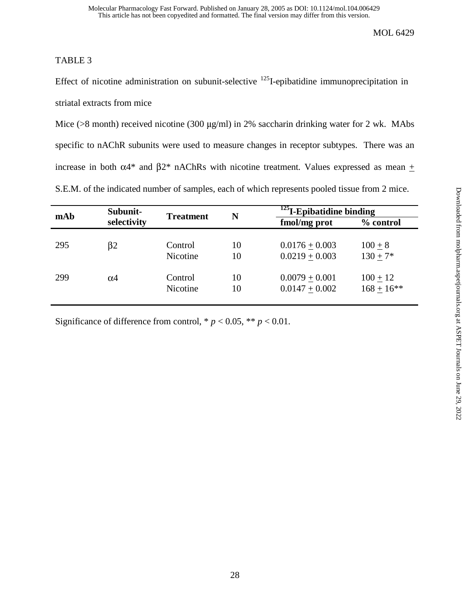# TABLE 3

Effect of nicotine administration on subunit-selective  $^{125}$ I-epibatidine immunoprecipitation in striatal extracts from mice

Mice (>8 month) received nicotine (300 µg/ml) in 2% saccharin drinking water for 2 wk. MAbs specific to nAChR subunits were used to measure changes in receptor subtypes. There was an increase in both  $\alpha$ <sup>4\*</sup> and  $\beta$ 2<sup>\*</sup> nAChRs with nicotine treatment. Values expressed as mean  $+$ S.E.M. of the indicated number of samples, each of which represents pooled tissue from 2 mice.

| mAb | Subunit-<br>selectivity | <b>Treatment</b> | N  | $125$ I-Epibatidine binding |              |
|-----|-------------------------|------------------|----|-----------------------------|--------------|
|     |                         |                  |    | fmol/mg prot                | % control    |
|     |                         |                  |    |                             |              |
| 295 | $\beta$ 2               | Control          | 10 | $0.0176 \pm 0.003$          | $100 + 8$    |
|     |                         | Nicotine         | 10 | $0.0219 + 0.003$            | $130 + 7*$   |
|     |                         |                  |    |                             |              |
| 299 | $\alpha$ 4              | Control          | 10 | $0.0079 + 0.001$            | $100 + 12$   |
|     |                         | Nicotine         | 10 | $0.0147 + 0.002$            | $168 + 16**$ |
|     |                         |                  |    |                             |              |

Significance of difference from control,  $p < 0.05$ ,  $p < 0.01$ .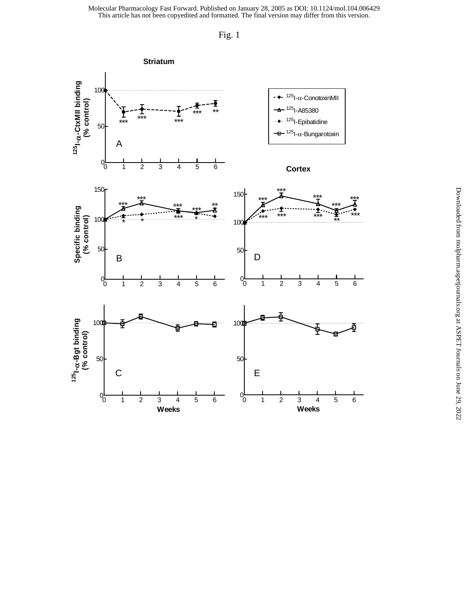

Downloaded from molpharm.aspetjournals.org at ASPET Journals on June 29, 2022 Downloaded from [molpharm.aspetjournals.org](http://molpharm.aspetjournals.org/) at ASPET Journals on June 29, 2022

Fig. 1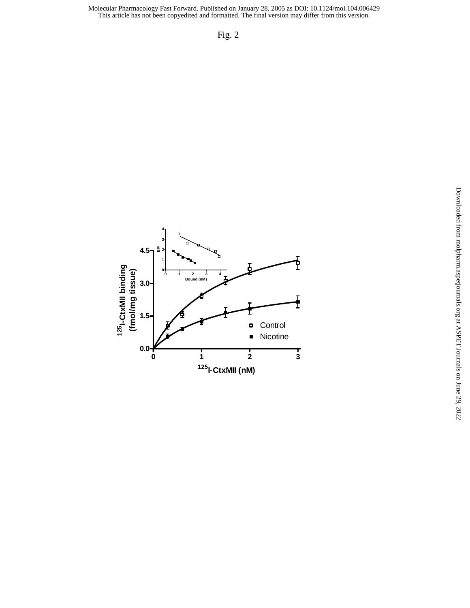This article has not been copyedited and formatted. The final version may differ from this version. Molecular Pharmacology Fast Forward. Published on January 28, 2005 as DOI: 10.1124/mol.104.006429

Fig. 2

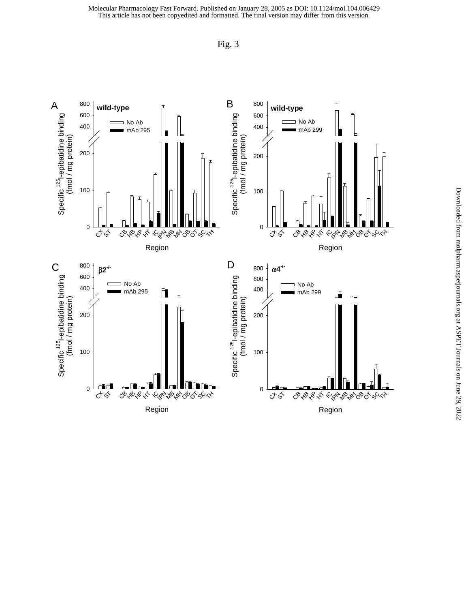

Fig. 3